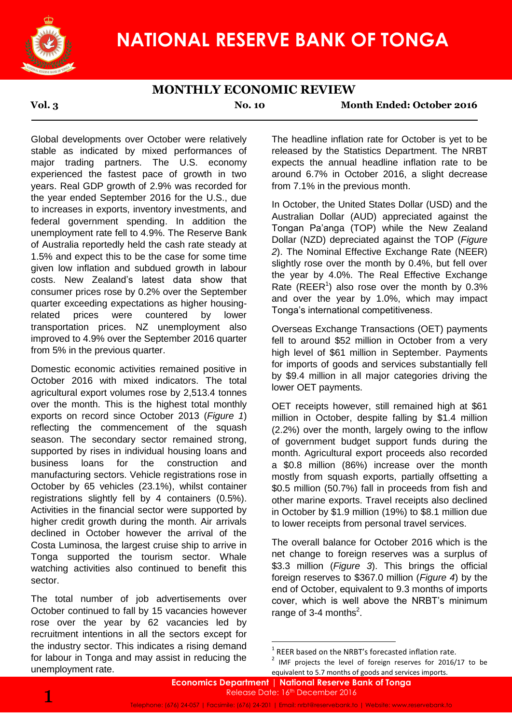

# **MONTHLY ECONOMIC REVIEW**

**Vol. 3 No. 10 Month Ended: October 2016**

Global developments over October were relatively stable as indicated by mixed performances of major trading partners. The U.S. economy experienced the fastest pace of growth in two years. Real GDP growth of 2.9% was recorded for the year ended September 2016 for the U.S., due to increases in exports, inventory investments, and federal government spending. In addition the unemployment rate fell to 4.9%. The Reserve Bank of Australia reportedly held the cash rate steady at 1.5% and expect this to be the case for some time given low inflation and subdued growth in labour costs. New Zealand's latest data show that consumer prices rose by 0.2% over the September quarter exceeding expectations as higher housingrelated prices were countered by lower transportation prices. NZ unemployment also improved to 4.9% over the September 2016 quarter from 5% in the previous quarter.

Domestic economic activities remained positive in October 2016 with mixed indicators. The total agricultural export volumes rose by 2,513.4 tonnes over the month. This is the highest total monthly exports on record since October 2013 (*Figure 1*) reflecting the commencement of the squash season. The secondary sector remained strong, supported by rises in individual housing loans and business loans for the construction and manufacturing sectors. Vehicle registrations rose in October by 65 vehicles (23.1%), whilst container registrations slightly fell by 4 containers (0.5%). Activities in the financial sector were supported by higher credit growth during the month. Air arrivals declined in October however the arrival of the Costa Luminosa, the largest cruise ship to arrive in Tonga supported the tourism sector. Whale watching activities also continued to benefit this sector.

The total number of job advertisements over October continued to fall by 15 vacancies however rose over the year by 62 vacancies led by recruitment intentions in all the sectors except for the industry sector. This indicates a rising demand for labour in Tonga and may assist in reducing the unemployment rate.

The headline inflation rate for October is yet to be released by the Statistics Department. The NRBT expects the annual headline inflation rate to be around 6.7% in October 2016, a slight decrease from 7.1% in the previous month.

In October, the United States Dollar (USD) and the Australian Dollar (AUD) appreciated against the Tongan Pa'anga (TOP) while the New Zealand Dollar (NZD) depreciated against the TOP (*Figure 2*). The Nominal Effective Exchange Rate (NEER) slightly rose over the month by 0.4%, but fell over the year by 4.0%. The Real Effective Exchange Rate (REER<sup>1</sup>) also rose over the month by  $0.3\%$ and over the year by 1.0%, which may impact Tonga's international competitiveness.

Overseas Exchange Transactions (OET) payments fell to around \$52 million in October from a very high level of \$61 million in September. Payments for imports of goods and services substantially fell by \$9.4 million in all major categories driving the lower OET payments.

OET receipts however, still remained high at \$61 million in October, despite falling by \$1.4 million (2.2%) over the month, largely owing to the inflow of government budget support funds during the month. Agricultural export proceeds also recorded a \$0.8 million (86%) increase over the month mostly from squash exports, partially offsetting a \$0.5 million (50.7%) fall in proceeds from fish and other marine exports. Travel receipts also declined in October by \$1.9 million (19%) to \$8.1 million due to lower receipts from personal travel services.

The overall balance for October 2016 which is the net change to foreign reserves was a surplus of \$3.3 million (*Figure 3*). This brings the official foreign reserves to \$367.0 million (*Figure 4*) by the end of October, equivalent to 9.3 months of imports cover, which is well above the NRBT's minimum range of 3-4 months $2$ .

1

 $1$  REER based on the NRBT's forecasted inflation rate.

 $2$  IMF projects the level of foreign reserves for 2016/17 to be equivalent to 5.7 months of goods and services imports.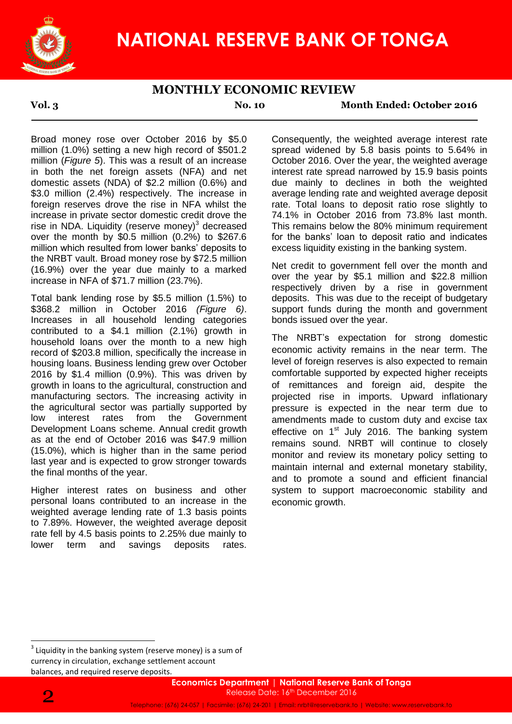

# **MONTHLY ECONOMIC REVIEW**

**Vol. 3 No. 10 Month Ended: October 2016**

Broad money rose over October 2016 by \$5.0 million (1.0%) setting a new high record of \$501.2 million (*Figure 5*). This was a result of an increase in both the net foreign assets (NFA) and net domestic assets (NDA) of \$2.2 million (0.6%) and \$3.0 million (2.4%) respectively. The increase in foreign reserves drove the rise in NFA whilst the increase in private sector domestic credit drove the rise in NDA. Liquidity (reserve money) $3$  decreased over the month by \$0.5 million (0.2%) to \$267.6 million which resulted from lower banks' deposits to the NRBT vault. Broad money rose by \$72.5 million (16.9%) over the year due mainly to a marked increase in NFA of \$71.7 million (23.7%).

Total bank lending rose by \$5.5 million (1.5%) to \$368.2 million in October 2016 *(Figure 6)*. Increases in all household lending categories contributed to a \$4.1 million (2.1%) growth in household loans over the month to a new high record of \$203.8 million, specifically the increase in housing loans. Business lending grew over October 2016 by \$1.4 million (0.9%). This was driven by growth in loans to the agricultural, construction and manufacturing sectors. The increasing activity in the agricultural sector was partially supported by low interest rates from the Government Development Loans scheme. Annual credit growth as at the end of October 2016 was \$47.9 million (15.0%), which is higher than in the same period last year and is expected to grow stronger towards the final months of the year.

Higher interest rates on business and other personal loans contributed to an increase in the weighted average lending rate of 1.3 basis points to 7.89%. However, the weighted average deposit rate fell by 4.5 basis points to 2.25% due mainly to lower term and savings deposits rates.

Consequently, the weighted average interest rate spread widened by 5.8 basis points to 5.64% in October 2016. Over the year, the weighted average interest rate spread narrowed by 15.9 basis points due mainly to declines in both the weighted average lending rate and weighted average deposit rate. Total loans to deposit ratio rose slightly to 74.1% in October 2016 from 73.8% last month. This remains below the 80% minimum requirement for the banks' loan to deposit ratio and indicates excess liquidity existing in the banking system.

Net credit to government fell over the month and over the year by \$5.1 million and \$22.8 million respectively driven by a rise in government deposits. This was due to the receipt of budgetary support funds during the month and government bonds issued over the year.

The NRBT's expectation for strong domestic economic activity remains in the near term. The level of foreign reserves is also expected to remain comfortable supported by expected higher receipts of remittances and foreign aid, despite the projected rise in imports. Upward inflationary pressure is expected in the near term due to amendments made to custom duty and excise tax effective on  $1<sup>st</sup>$  July 2016. The banking system remains sound. NRBT will continue to closely monitor and review its monetary policy setting to maintain internal and external monetary stability, and to promote a sound and efficient financial system to support macroeconomic stability and economic growth.



1

 $3$  Liquidity in the banking system (reserve money) is a sum of currency in circulation, exchange settlement account balances, and required reserve deposits.